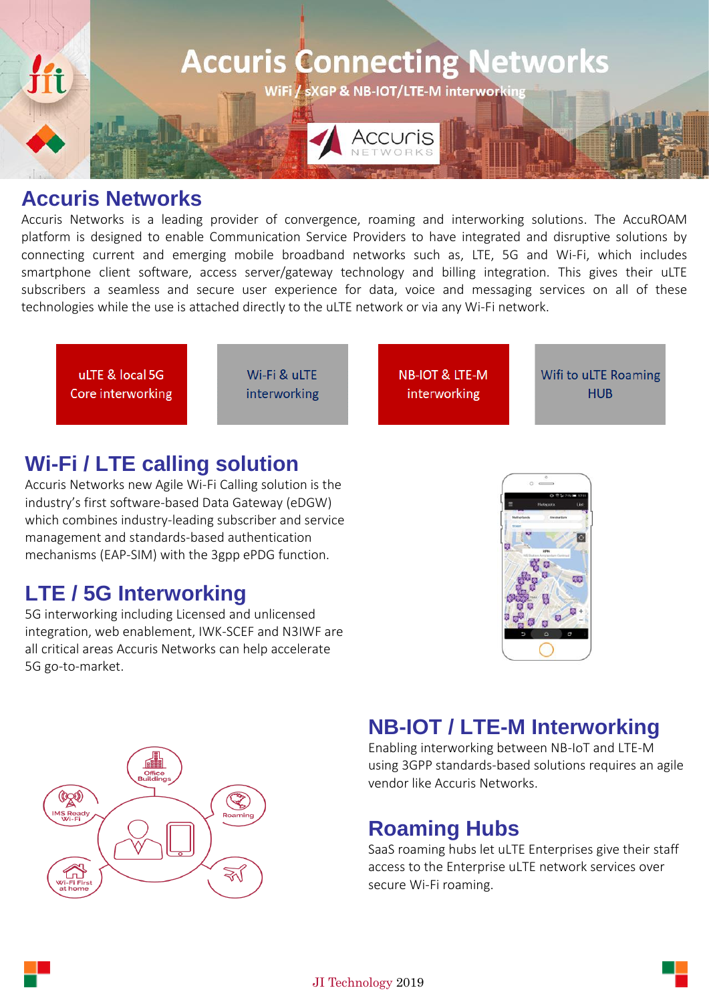

### **Accuris Networks**

Accuris Networks is a leading provider of convergence, roaming and interworking solutions. The AccuROAM platform is designed to enable Communication Service Providers to have integrated and disruptive solutions by connecting current and emerging mobile broadband networks such as, LTE, 5G and Wi-Fi, which includes smartphone client software, access server/gateway technology and billing integration. This gives their uLTE subscribers a seamless and secure user experience for data, voice and messaging services on all of these technologies while the use is attached directly to the uLTE network or via any Wi-Fi network.



## **Wi-Fi / LTE calling solution**

Accuris Networks new Agile Wi-Fi Calling solution is the industry's first software-based Data Gateway [\(eDGW\)](https://www.accuris-networks.com/Solutions/Product-Detail/eDGW) which combines industry-leading subscriber and service management and standards-based authentication mechanisms (EAP-SIM) with the 3gpp ePDG function.

# **LTE / 5G Interworking**

5G interworking including Licensed and unlicensed integration, web enablement, IWK-SCEF and N3IWF are all critical areas Accuris Networks can help accelerate 5G go-to-market.





# **NB-IOT / LTE-M Interworking**

Enabling interworking between NB-IoT and LTE-M using 3GPP standards-based solutions requires an agile vendor like Accuris Networks.

# **Roaming Hubs**

SaaS roaming hubs let uLTE Enterprises give their staff access to the Enterprise uLTE network services over secure Wi-Fi roaming.